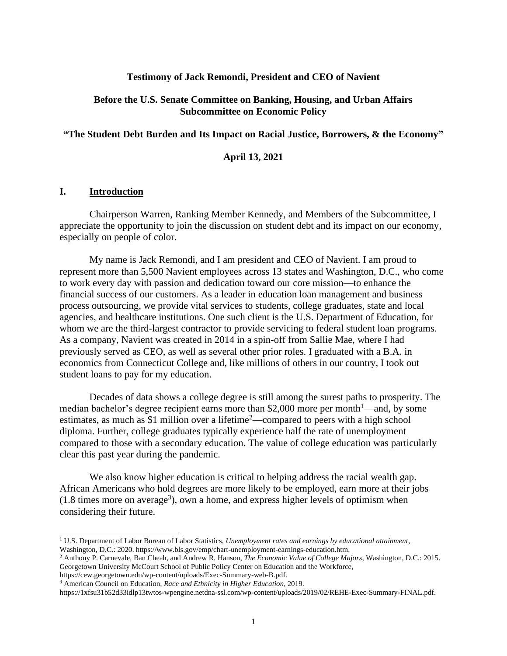#### **Testimony of Jack Remondi, President and CEO of Navient**

#### **Before the U.S. Senate Committee on Banking, Housing, and Urban Affairs Subcommittee on Economic Policy**

#### **"The Student Debt Burden and Its Impact on Racial Justice, Borrowers, & the Economy"**

#### **April 13, 2021**

#### **I. Introduction**

Chairperson Warren, Ranking Member Kennedy, and Members of the Subcommittee, I appreciate the opportunity to join the discussion on student debt and its impact on our economy, especially on people of color.

My name is Jack Remondi, and I am president and CEO of Navient. I am proud to represent more than 5,500 Navient employees across 13 states and Washington, D.C., who come to work every day with passion and dedication toward our core mission—to enhance the financial success of our customers. As a leader in education loan management and business process outsourcing, we provide vital services to students, college graduates, state and local agencies, and healthcare institutions. One such client is the U.S. Department of Education, for whom we are the third-largest contractor to provide servicing to federal student loan programs. As a company, Navient was created in 2014 in a spin-off from Sallie Mae, where I had previously served as CEO, as well as several other prior roles. I graduated with a B.A. in economics from Connecticut College and, like millions of others in our country, I took out student loans to pay for my education.

Decades of data shows a college degree is still among the surest paths to prosperity. The median bachelor's degree recipient earns more than \$2,000 more per month<sup>1</sup>—and, by some estimates, as much as \$1 million over a lifetime<sup>2</sup>—compared to peers with a high school diploma. Further, college graduates typically experience half the rate of unemployment compared to those with a secondary education. The value of college education was particularly clear this past year during the pandemic.

We also know higher education is critical to helping address the racial wealth gap. African Americans who hold degrees are more likely to be employed, earn more at their jobs  $(1.8 \text{ times more on average}^3)$ , own a home, and express higher levels of optimism when considering their future.

https://cew.georgetown.edu/wp-content/uploads/Exec-Summary-web-B.pdf.

<sup>1</sup> U.S. Department of Labor Bureau of Labor Statistics, *Unemployment rates and earnings by educational attainment*, Washington, D.C.: 2020. https://www.bls.gov/emp/chart-unemployment-earnings-education.htm.

<sup>2</sup> Anthony P. Carnevale, Ban Cheah, and Andrew R. Hanson, *The Economic Value of College Majors*, Washington, D.C.: 2015. Georgetown University McCourt School of Public Policy Center on Education and the Workforce,

<sup>3</sup> American Council on Education, *Race and Ethnicity in Higher Education*, 2019.

https://1xfsu31b52d33idlp13twtos-wpengine.netdna-ssl.com/wp-content/uploads/2019/02/REHE-Exec-Summary-FINAL.pdf.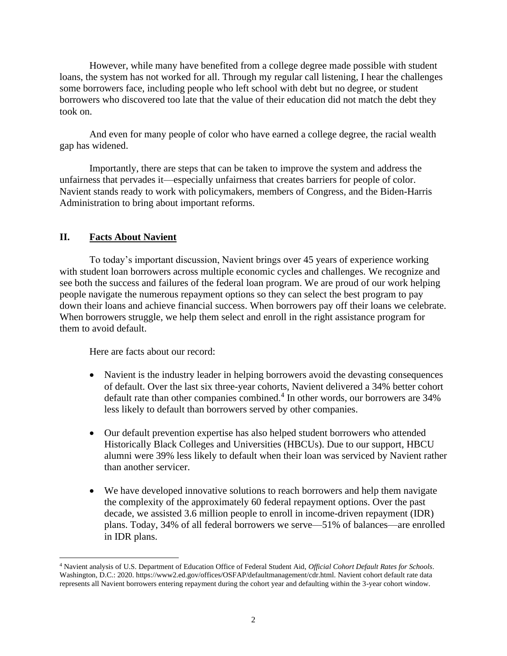However, while many have benefited from a college degree made possible with student loans, the system has not worked for all. Through my regular call listening, I hear the challenges some borrowers face, including people who left school with debt but no degree, or student borrowers who discovered too late that the value of their education did not match the debt they took on.

And even for many people of color who have earned a college degree, the racial wealth gap has widened.

Importantly, there are steps that can be taken to improve the system and address the unfairness that pervades it—especially unfairness that creates barriers for people of color. Navient stands ready to work with policymakers, members of Congress, and the Biden-Harris Administration to bring about important reforms.

# **II. Facts About Navient**

To today's important discussion, Navient brings over 45 years of experience working with student loan borrowers across multiple economic cycles and challenges. We recognize and see both the success and failures of the federal loan program. We are proud of our work helping people navigate the numerous repayment options so they can select the best program to pay down their loans and achieve financial success. When borrowers pay off their loans we celebrate. When borrowers struggle, we help them select and enroll in the right assistance program for them to avoid default.

Here are facts about our record:

- Navient is the industry leader in helping borrowers avoid the devasting consequences of default. Over the last six three-year cohorts, Navient delivered a 34% better cohort default rate than other companies combined. 4 In other words, our borrowers are 34% less likely to default than borrowers served by other companies.
- Our default prevention expertise has also helped student borrowers who attended Historically Black Colleges and Universities (HBCUs). Due to our support, HBCU alumni were 39% less likely to default when their loan was serviced by Navient rather than another servicer.
- We have developed innovative solutions to reach borrowers and help them navigate the complexity of the approximately 60 federal repayment options. Over the past decade, we assisted 3.6 million people to enroll in income-driven repayment (IDR) plans. Today, 34% of all federal borrowers we serve—51% of balances—are enrolled in IDR plans.

<sup>4</sup> Navient analysis of U.S. Department of Education Office of Federal Student Aid, *Official Cohort Default Rates for Schools*. Washington, D.C.: 2020. https://www2.ed.gov/offices/OSFAP/defaultmanagement/cdr.html. Navient cohort default rate data represents all Navient borrowers entering repayment during the cohort year and defaulting within the 3-year cohort window.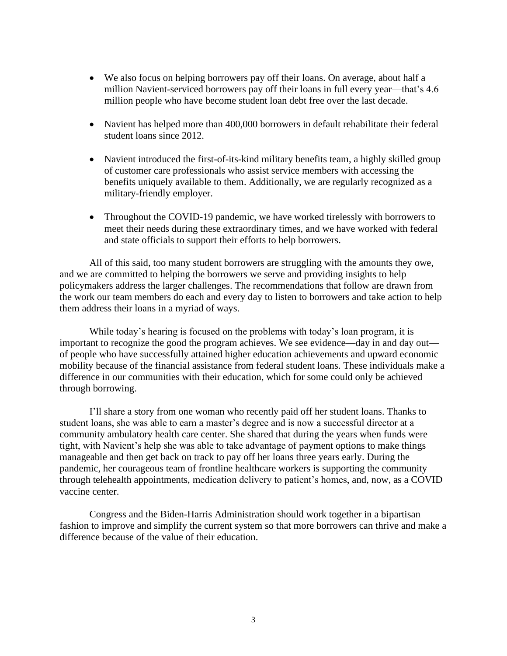- We also focus on helping borrowers pay off their loans. On average, about half a million Navient-serviced borrowers pay off their loans in full every year—that's 4.6 million people who have become student loan debt free over the last decade.
- Navient has helped more than 400,000 borrowers in default rehabilitate their federal student loans since 2012.
- Navient introduced the first-of-its-kind military benefits team, a highly skilled group of customer care professionals who assist service members with accessing the benefits uniquely available to them. Additionally, we are regularly recognized as a military-friendly employer.
- Throughout the COVID-19 pandemic, we have worked tirelessly with borrowers to meet their needs during these extraordinary times, and we have worked with federal and state officials to support their efforts to help borrowers.

All of this said, too many student borrowers are struggling with the amounts they owe, and we are committed to helping the borrowers we serve and providing insights to help policymakers address the larger challenges. The recommendations that follow are drawn from the work our team members do each and every day to listen to borrowers and take action to help them address their loans in a myriad of ways.

While today's hearing is focused on the problems with today's loan program, it is important to recognize the good the program achieves. We see evidence—day in and day out of people who have successfully attained higher education achievements and upward economic mobility because of the financial assistance from federal student loans. These individuals make a difference in our communities with their education, which for some could only be achieved through borrowing.

I'll share a story from one woman who recently paid off her student loans. Thanks to student loans, she was able to earn a master's degree and is now a successful director at a community ambulatory health care center. She shared that during the years when funds were tight, with Navient's help she was able to take advantage of payment options to make things manageable and then get back on track to pay off her loans three years early. During the pandemic, her courageous team of frontline healthcare workers is supporting the community through telehealth appointments, medication delivery to patient's homes, and, now, as a COVID vaccine center.

Congress and the Biden-Harris Administration should work together in a bipartisan fashion to improve and simplify the current system so that more borrowers can thrive and make a difference because of the value of their education.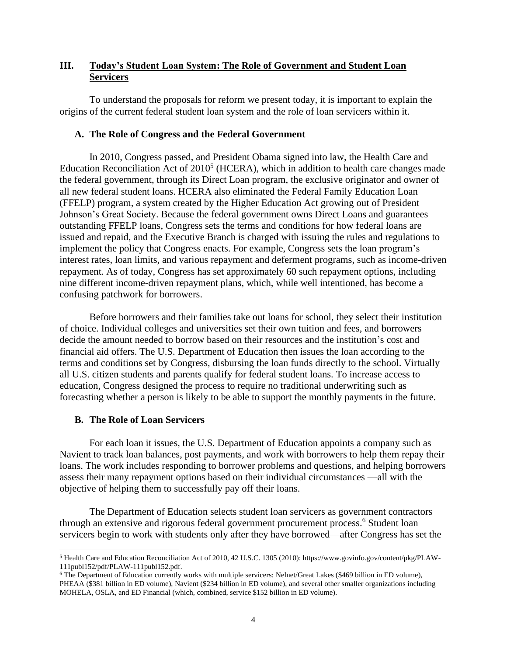# **III. Today's Student Loan System: The Role of Government and Student Loan Servicers**

To understand the proposals for reform we present today, it is important to explain the origins of the current federal student loan system and the role of loan servicers within it.

## **A. The Role of Congress and the Federal Government**

In 2010, Congress passed, and President Obama signed into law, the Health Care and Education Reconciliation Act of  $2010<sup>5</sup>$  (HCERA), which in addition to health care changes made the federal government, through its Direct Loan program, the exclusive originator and owner of all new federal student loans. HCERA also eliminated the Federal Family Education Loan (FFELP) program, a system created by the Higher Education Act growing out of President Johnson's Great Society. Because the federal government owns Direct Loans and guarantees outstanding FFELP loans, Congress sets the terms and conditions for how federal loans are issued and repaid, and the Executive Branch is charged with issuing the rules and regulations to implement the policy that Congress enacts. For example, Congress sets the loan program's interest rates, loan limits, and various repayment and deferment programs, such as income-driven repayment. As of today, Congress has set approximately 60 such repayment options, including nine different income-driven repayment plans, which, while well intentioned, has become a confusing patchwork for borrowers.

Before borrowers and their families take out loans for school, they select their institution of choice. Individual colleges and universities set their own tuition and fees, and borrowers decide the amount needed to borrow based on their resources and the institution's cost and financial aid offers. The U.S. Department of Education then issues the loan according to the terms and conditions set by Congress, disbursing the loan funds directly to the school. Virtually all U.S. citizen students and parents qualify for federal student loans. To increase access to education, Congress designed the process to require no traditional underwriting such as forecasting whether a person is likely to be able to support the monthly payments in the future.

# **B. The Role of Loan Servicers**

For each loan it issues, the U.S. Department of Education appoints a company such as Navient to track loan balances, post payments, and work with borrowers to help them repay their loans. The work includes responding to borrower problems and questions, and helping borrowers assess their many repayment options based on their individual circumstances —all with the objective of helping them to successfully pay off their loans.

The Department of Education selects student loan servicers as government contractors through an extensive and rigorous federal government procurement process.<sup>6</sup> Student loan servicers begin to work with students only after they have borrowed—after Congress has set the

<sup>5</sup> Health Care and Education Reconciliation Act of 2010, 42 U.S.C. 1305 (2010): https://www.govinfo.gov/content/pkg/PLAW-111publ152/pdf/PLAW-111publ152.pdf.

<sup>&</sup>lt;sup>6</sup> The Department of Education currently works with multiple servicers: Nelnet/Great Lakes (\$469 billion in ED volume), PHEAA (\$381 billion in ED volume), Navient (\$234 billion in ED volume), and several other smaller organizations including MOHELA, OSLA, and ED Financial (which, combined, service \$152 billion in ED volume).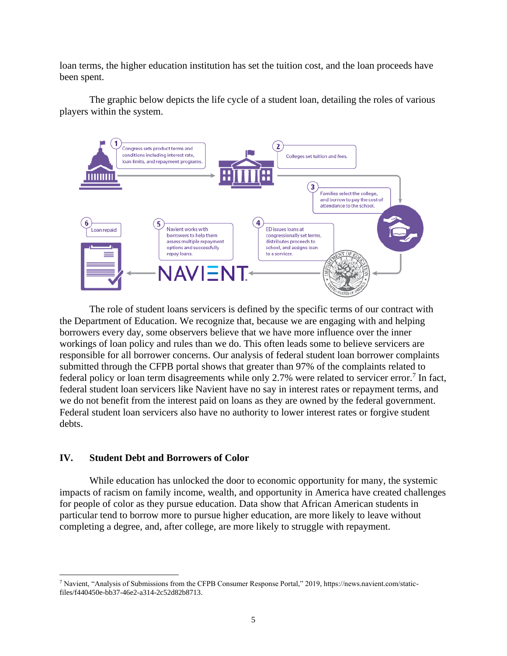loan terms, the higher education institution has set the tuition cost, and the loan proceeds have been spent.

The graphic below depicts the life cycle of a student loan, detailing the roles of various players within the system.



The role of student loans servicers is defined by the specific terms of our contract with the Department of Education. We recognize that, because we are engaging with and helping borrowers every day, some observers believe that we have more influence over the inner workings of loan policy and rules than we do. This often leads some to believe servicers are responsible for all borrower concerns. Our analysis of federal student loan borrower complaints submitted through the CFPB portal shows that greater than 97% of the complaints related to federal policy or loan term disagreements while only 2.7% were related to servicer error.<sup>7</sup> In fact, federal student loan servicers like Navient have no say in interest rates or repayment terms, and we do not benefit from the interest paid on loans as they are owned by the federal government. Federal student loan servicers also have no authority to lower interest rates or forgive student debts.

#### **IV. Student Debt and Borrowers of Color**

While education has unlocked the door to economic opportunity for many, the systemic impacts of racism on family income, wealth, and opportunity in America have created challenges for people of color as they pursue education. Data show that African American students in particular tend to borrow more to pursue higher education, are more likely to leave without completing a degree, and, after college, are more likely to struggle with repayment.

<sup>7</sup> Navient, "Analysis of Submissions from the CFPB Consumer Response Portal," 2019, https://news.navient.com/staticfiles/f440450e-bb37-46e2-a314-2c52d82b8713.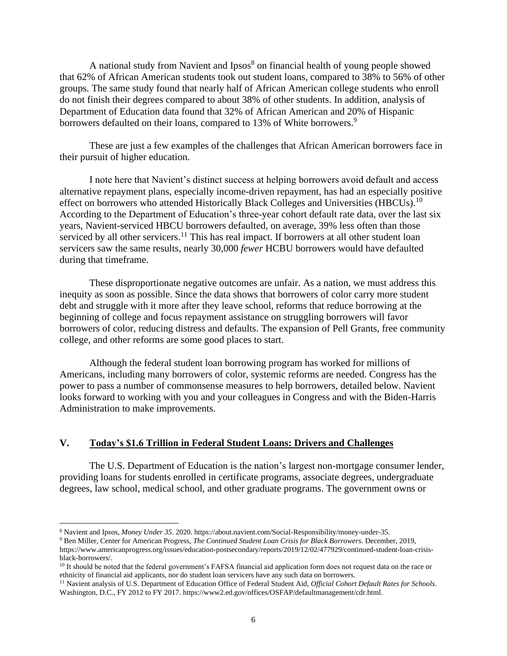A national study from Navient and Ipsos<sup>8</sup> on financial health of young people showed that 62% of African American students took out student loans, compared to 38% to 56% of other groups. The same study found that nearly half of African American college students who enroll do not finish their degrees compared to about 38% of other students. In addition, analysis of Department of Education data found that 32% of African American and 20% of Hispanic borrowers defaulted on their loans, compared to 13% of White borrowers.<sup>9</sup>

These are just a few examples of the challenges that African American borrowers face in their pursuit of higher education.

I note here that Navient's distinct success at helping borrowers avoid default and access alternative repayment plans, especially income-driven repayment, has had an especially positive effect on borrowers who attended Historically Black Colleges and Universities (HBCUs).<sup>10</sup> According to the Department of Education's three-year cohort default rate data, over the last six years, Navient-serviced HBCU borrowers defaulted, on average, 39% less often than those serviced by all other servicers.<sup>11</sup> This has real impact. If borrowers at all other student loan servicers saw the same results, nearly 30,000 *fewer* HCBU borrowers would have defaulted during that timeframe.

These disproportionate negative outcomes are unfair. As a nation, we must address this inequity as soon as possible. Since the data shows that borrowers of color carry more student debt and struggle with it more after they leave school, reforms that reduce borrowing at the beginning of college and focus repayment assistance on struggling borrowers will favor borrowers of color, reducing distress and defaults. The expansion of Pell Grants, free community college, and other reforms are some good places to start.

Although the federal student loan borrowing program has worked for millions of Americans, including many borrowers of color, systemic reforms are needed. Congress has the power to pass a number of commonsense measures to help borrowers, detailed below. Navient looks forward to working with you and your colleagues in Congress and with the Biden-Harris Administration to make improvements.

#### **V. Today's \$1.6 Trillion in Federal Student Loans: Drivers and Challenges**

The U.S. Department of Education is the nation's largest non-mortgage consumer lender, providing loans for students enrolled in certificate programs, associate degrees, undergraduate degrees, law school, medical school, and other graduate programs. The government owns or

<sup>9</sup> Ben Miller, Center for American Progress, *The Continued Student Loan Crisis for Black Borrowers*. December, 2019,

<sup>8</sup> Navient and Ipsos, *Money Under 35*. 2020. https://about.navient.com/Social-Responsibility/money-under-35.

https://www.americanprogress.org/issues/education-postsecondary/reports/2019/12/02/477929/continued-student-loan-crisisblack-borrowers/.

<sup>&</sup>lt;sup>10</sup> It should be noted that the federal government's FAFSA financial aid application form does not request data on the race or ethnicity of financial aid applicants, nor do student loan servicers have any such data on borrowers.

<sup>11</sup> Navient analysis of U.S. Department of Education Office of Federal Student Aid, *Official Cohort Default Rates for Schools*. Washington, D.C., FY 2012 to FY 2017. https://www2.ed.gov/offices/OSFAP/defaultmanagement/cdr.html.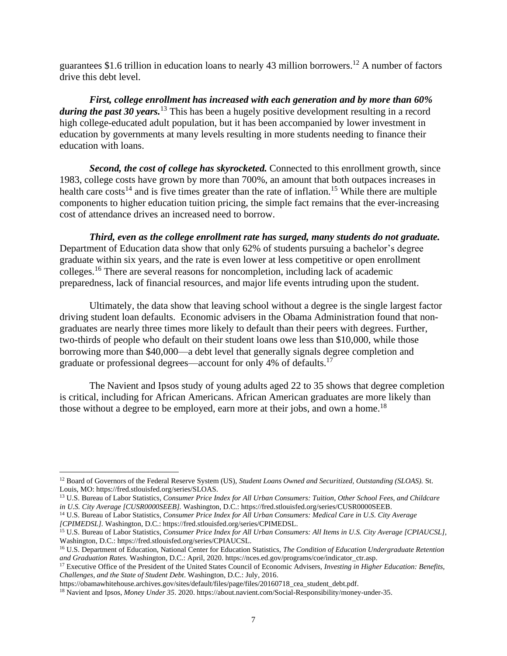guarantees \$1.6 trillion in education loans to nearly 43 million borrowers.<sup>12</sup> A number of factors drive this debt level.

*First, college enrollment has increased with each generation and by more than 60% during the past 30 years.*<sup>13</sup> This has been a hugely positive development resulting in a record high college-educated adult population, but it has been accompanied by lower investment in education by governments at many levels resulting in more students needing to finance their education with loans.

*Second, the cost of college has skyrocketed.* Connected to this enrollment growth, since 1983, college costs have grown by more than 700%, an amount that both outpaces increases in health care costs<sup>14</sup> and is five times greater than the rate of inflation.<sup>15</sup> While there are multiple components to higher education tuition pricing, the simple fact remains that the ever-increasing cost of attendance drives an increased need to borrow.

*Third, even as the college enrollment rate has surged, many students do not graduate.* Department of Education data show that only 62% of students pursuing a bachelor's degree graduate within six years, and the rate is even lower at less competitive or open enrollment colleges.<sup>16</sup> There are several reasons for noncompletion, including lack of academic preparedness, lack of financial resources, and major life events intruding upon the student.

Ultimately, the data show that leaving school without a degree is the single largest factor driving student loan defaults. Economic advisers in the Obama Administration found that nongraduates are nearly three times more likely to default than their peers with degrees. Further, two-thirds of people who default on their student loans owe less than \$10,000, while those borrowing more than \$40,000—a debt level that generally signals degree completion and graduate or professional degrees—account for only 4% of defaults.<sup>17</sup>

The Navient and Ipsos study of young adults aged 22 to 35 shows that degree completion is critical, including for African Americans. African American graduates are more likely than those without a degree to be employed, earn more at their jobs, and own a home.<sup>18</sup>

<sup>12</sup> Board of Governors of the Federal Reserve System (US), *Student Loans Owned and Securitized, Outstanding (SLOAS).* St. Louis, MO: https://fred.stlouisfed.org/series/SLOAS.

<sup>13</sup> U.S. Bureau of Labor Statistics, *Consumer Price Index for All Urban Consumers: Tuition, Other School Fees, and Childcare in U.S. City Average [CUSR0000SEEB].* Washington, D.C.: https://fred.stlouisfed.org/series/CUSR0000SEEB.

<sup>14</sup> U.S. Bureau of Labor Statistics, *Consumer Price Index for All Urban Consumers: Medical Care in U.S. City Average [CPIMEDSL].* Washington, D.C.: https://fred.stlouisfed.org/series/CPIMEDSL.

<sup>15</sup> U.S. Bureau of Labor Statistics, *Consumer Price Index for All Urban Consumers: All Items in U.S. City Average [CPIAUCSL],*  Washington, D.C.: https://fred.stlouisfed.org/series/CPIAUCSL.

<sup>16</sup> U.S. Department of Education, National Center for Education Statistics, *The Condition of Education Undergraduate Retention and Graduation Rates.* Washington, D.C.: April, 2020. https://nces.ed.gov/programs/coe/indicator\_ctr.asp.

<sup>17</sup> Executive Office of the President of the United States Council of Economic Advisers, *Investing in Higher Education: Benefits, Challenges, and the State of Student Debt*. Washington, D.C.: July, 2016.

https://obamawhitehouse.archives.gov/sites/default/files/page/files/20160718\_cea\_student\_debt.pdf.

<sup>18</sup> Navient and Ipsos, *Money Under 35*. 2020. https://about.navient.com/Social-Responsibility/money-under-35.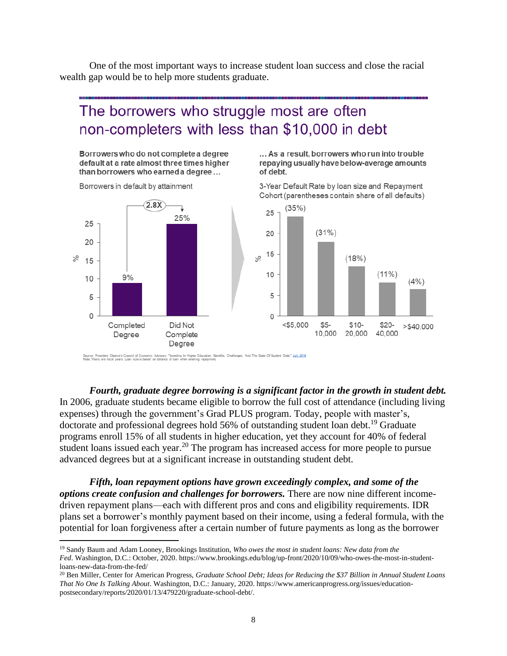One of the most important ways to increase student loan success and close the racial wealth gap would be to help more students graduate.

# The borrowers who struggle most are often non-completers with less than \$10,000 in debt

Borrowers who do not complete a degree default at a rate almost three times higher than borrowers who earned a degree...

... As a result, borrowers who run into trouble repaying usually have below-average amounts of debt.

3-Year Default Rate by loan size and Repayment

Borrowers in default by attainment



Source: President Oberna's Council of Economic Advisors, "Investing In Higher Education: Benefits, Challenges, And The State Of Student Debt," July 2016<br>Note: Years are fiscal years. Loan size is based on balance of loan w

*Fourth, graduate degree borrowing is a significant factor in the growth in student debt.* In 2006, graduate students became eligible to borrow the full cost of attendance (including living expenses) through the government's Grad PLUS program. Today, people with master's, doctorate and professional degrees hold 56% of outstanding student loan debt.<sup>19</sup> Graduate programs enroll 15% of all students in higher education, yet they account for 40% of federal student loans issued each year.<sup>20</sup> The program has increased access for more people to pursue advanced degrees but at a significant increase in outstanding student debt.

*Fifth, loan repayment options have grown exceedingly complex, and some of the options create confusion and challenges for borrowers.* There are now nine different incomedriven repayment plans—each with different pros and cons and eligibility requirements. IDR plans set a borrower's monthly payment based on their income, using a federal formula, with the potential for loan forgiveness after a certain number of future payments as long as the borrower

<sup>19</sup> Sandy Baum and Adam Looney, Brookings Institution, *Who owes the most in student loans: New data from the Fed*. Washington, D.C.: October, 2020. https://www.brookings.edu/blog/up-front/2020/10/09/who-owes-the-most-in-studentloans-new-data-from-the-fed/

<sup>20</sup> Ben Miller, Center for American Progress, *Graduate School Debt; Ideas for Reducing the \$37 Billion in Annual Student Loans That No One Is Talking About*. Washington, D.C.: January, 2020. https://www.americanprogress.org/issues/educationpostsecondary/reports/2020/01/13/479220/graduate-school-debt/.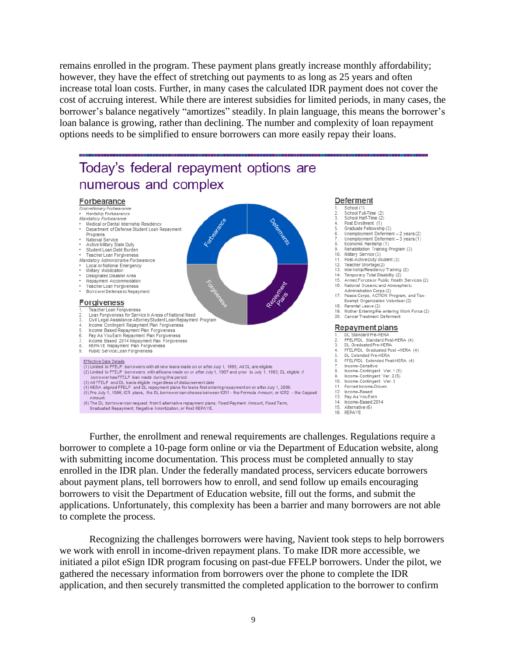remains enrolled in the program. These payment plans greatly increase monthly affordability; however, they have the effect of stretching out payments to as long as 25 years and often increase total loan costs. Further, in many cases the calculated IDR payment does not cover the cost of accruing interest. While there are interest subsidies for limited periods, in many cases, the borrower's balance negatively "amortizes" steadily. In plain language, this means the borrower's loan balance is growing, rather than declining. The number and complexity of loan repayment options needs to be simplified to ensure borrowers can more easily repay their loans.



Further, the enrollment and renewal requirements are challenges. Regulations require a borrower to complete a 10-page form online or via the Department of Education website, along with submitting income documentation. This process must be completed annually to stay enrolled in the IDR plan. Under the federally mandated process, servicers educate borrowers about payment plans, tell borrowers how to enroll, and send follow up emails encouraging borrowers to visit the Department of Education website, fill out the forms, and submit the applications. Unfortunately, this complexity has been a barrier and many borrowers are not able to complete the process.

Recognizing the challenges borrowers were having, Navient took steps to help borrowers we work with enroll in income-driven repayment plans. To make IDR more accessible, we initiated a pilot eSign IDR program focusing on past-due FFELP borrowers. Under the pilot, we gathered the necessary information from borrowers over the phone to complete the IDR application, and then securely transmitted the completed application to the borrower to confirm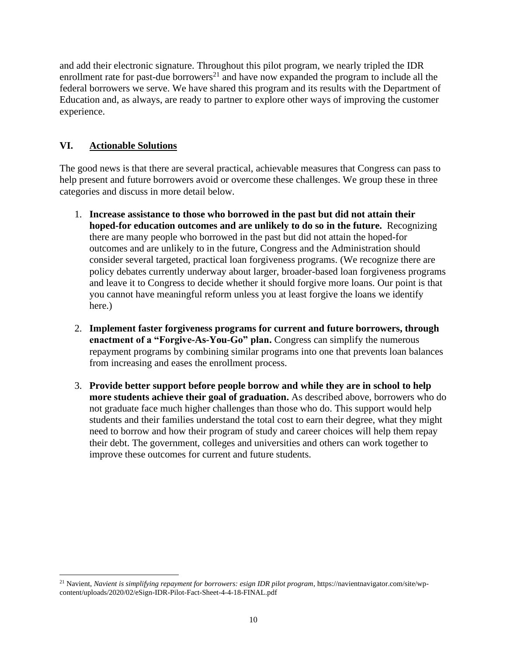and add their electronic signature. Throughout this pilot program, we nearly tripled the IDR enrollment rate for past-due borrowers<sup>21</sup> and have now expanded the program to include all the federal borrowers we serve. We have shared this program and its results with the Department of Education and, as always, are ready to partner to explore other ways of improving the customer experience.

# **VI. Actionable Solutions**

The good news is that there are several practical, achievable measures that Congress can pass to help present and future borrowers avoid or overcome these challenges. We group these in three categories and discuss in more detail below.

- 1. **Increase assistance to those who borrowed in the past but did not attain their hoped-for education outcomes and are unlikely to do so in the future.** Recognizing there are many people who borrowed in the past but did not attain the hoped-for outcomes and are unlikely to in the future, Congress and the Administration should consider several targeted, practical loan forgiveness programs. (We recognize there are policy debates currently underway about larger, broader-based loan forgiveness programs and leave it to Congress to decide whether it should forgive more loans. Our point is that you cannot have meaningful reform unless you at least forgive the loans we identify here.)
- 2. **Implement faster forgiveness programs for current and future borrowers, through enactment of a "Forgive-As-You-Go" plan.** Congress can simplify the numerous repayment programs by combining similar programs into one that prevents loan balances from increasing and eases the enrollment process.
- 3. **Provide better support before people borrow and while they are in school to help more students achieve their goal of graduation.** As described above, borrowers who do not graduate face much higher challenges than those who do. This support would help students and their families understand the total cost to earn their degree, what they might need to borrow and how their program of study and career choices will help them repay their debt. The government, colleges and universities and others can work together to improve these outcomes for current and future students.

<sup>21</sup> Navient, *Navient is simplifying repayment for borrowers: esign IDR pilot program*, https://navientnavigator.com/site/wpcontent/uploads/2020/02/eSign-IDR-Pilot-Fact-Sheet-4-4-18-FINAL.pdf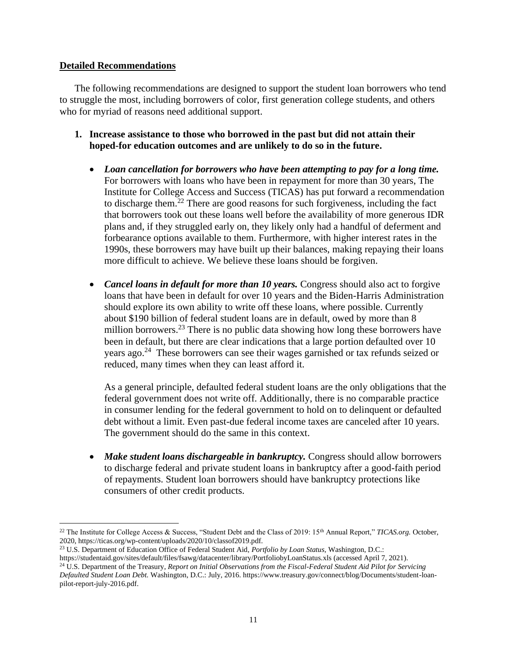## **Detailed Recommendations**

The following recommendations are designed to support the student loan borrowers who tend to struggle the most, including borrowers of color, first generation college students, and others who for myriad of reasons need additional support.

- **1. Increase assistance to those who borrowed in the past but did not attain their hoped-for education outcomes and are unlikely to do so in the future.**
	- *Loan cancellation for borrowers who have been attempting to pay for a long time.* For borrowers with loans who have been in repayment for more than 30 years, The Institute for College Access and Success (TICAS) has put forward a recommendation to discharge them.<sup>22</sup> There are good reasons for such forgiveness, including the fact that borrowers took out these loans well before the availability of more generous IDR plans and, if they struggled early on, they likely only had a handful of deferment and forbearance options available to them. Furthermore, with higher interest rates in the 1990s, these borrowers may have built up their balances, making repaying their loans more difficult to achieve. We believe these loans should be forgiven.
	- *Cancel loans in default for more than 10 years.* Congress should also act to forgive loans that have been in default for over 10 years and the Biden-Harris Administration should explore its own ability to write off these loans, where possible. Currently about \$190 billion of federal student loans are in default, owed by more than 8 million borrowers.<sup>23</sup> There is no public data showing how long these borrowers have been in default, but there are clear indications that a large portion defaulted over 10 years ago.<sup>24</sup> These borrowers can see their wages garnished or tax refunds seized or reduced, many times when they can least afford it.

As a general principle, defaulted federal student loans are the only obligations that the federal government does not write off. Additionally, there is no comparable practice in consumer lending for the federal government to hold on to delinquent or defaulted debt without a limit. Even past-due federal income taxes are canceled after 10 years. The government should do the same in this context.

• *Make student loans dischargeable in bankruptcy.* Congress should allow borrowers to discharge federal and private student loans in bankruptcy after a good-faith period of repayments. Student loan borrowers should have bankruptcy protections like consumers of other credit products.

<sup>22</sup> The Institute for College Access & Success, "Student Debt and the Class of 2019: 15th Annual Report," *TICAS.org.* October, 2020, https://ticas.org/wp-content/uploads/2020/10/classof2019.pdf.

<sup>23</sup> U.S. Department of Education Office of Federal Student Aid, *Portfolio by Loan Status,* Washington, D.C.:

https://studentaid.gov/sites/default/files/fsawg/datacenter/library/PortfoliobyLoanStatus.xls (accessed April 7, 2021).

<sup>24</sup> U.S. Department of the Treasury, *Report on Initial Observations from the Fiscal-Federal Student Aid Pilot for Servicing Defaulted Student Loan Debt.* Washington, D.C.: July, 2016. https://www.treasury.gov/connect/blog/Documents/student-loanpilot-report-july-2016.pdf.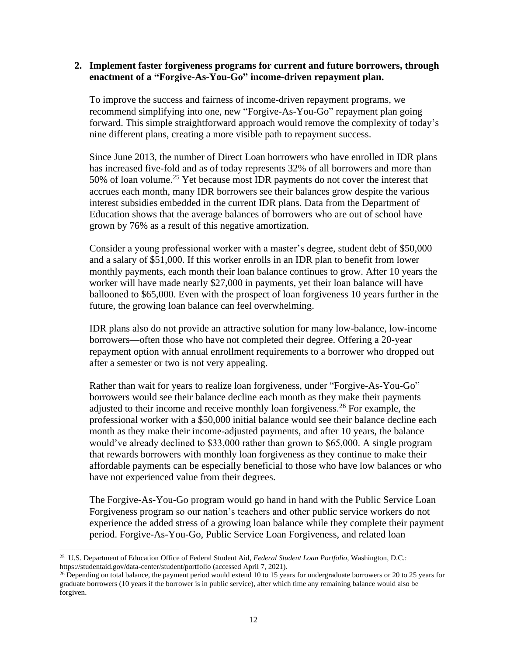#### **2. Implement faster forgiveness programs for current and future borrowers, through enactment of a "Forgive-As-You-Go" income-driven repayment plan.**

To improve the success and fairness of income-driven repayment programs, we recommend simplifying into one, new "Forgive-As-You-Go" repayment plan going forward. This simple straightforward approach would remove the complexity of today's nine different plans, creating a more visible path to repayment success.

Since June 2013, the number of Direct Loan borrowers who have enrolled in IDR plans has increased five-fold and as of today represents 32% of all borrowers and more than 50% of loan volume.<sup>25</sup> Yet because most IDR payments do not cover the interest that accrues each month, many IDR borrowers see their balances grow despite the various interest subsidies embedded in the current IDR plans. Data from the Department of Education shows that the average balances of borrowers who are out of school have grown by 76% as a result of this negative amortization.

Consider a young professional worker with a master's degree, student debt of \$50,000 and a salary of \$51,000. If this worker enrolls in an IDR plan to benefit from lower monthly payments, each month their loan balance continues to grow. After 10 years the worker will have made nearly \$27,000 in payments, yet their loan balance will have ballooned to \$65,000. Even with the prospect of loan forgiveness 10 years further in the future, the growing loan balance can feel overwhelming.

IDR plans also do not provide an attractive solution for many low-balance, low-income borrowers—often those who have not completed their degree. Offering a 20-year repayment option with annual enrollment requirements to a borrower who dropped out after a semester or two is not very appealing.

Rather than wait for years to realize loan forgiveness, under "Forgive-As-You-Go" borrowers would see their balance decline each month as they make their payments adjusted to their income and receive monthly loan forgiveness.<sup>26</sup> For example, the professional worker with a \$50,000 initial balance would see their balance decline each month as they make their income-adjusted payments, and after 10 years, the balance would've already declined to \$33,000 rather than grown to \$65,000. A single program that rewards borrowers with monthly loan forgiveness as they continue to make their affordable payments can be especially beneficial to those who have low balances or who have not experienced value from their degrees.

The Forgive-As-You-Go program would go hand in hand with the Public Service Loan Forgiveness program so our nation's teachers and other public service workers do not experience the added stress of a growing loan balance while they complete their payment period. Forgive-As-You-Go, Public Service Loan Forgiveness, and related loan

<sup>25</sup> U.S. Department of Education Office of Federal Student Aid, *Federal Student Loan Portfolio*, Washington, D.C.: https://studentaid.gov/data-center/student/portfolio (accessed April 7, 2021).

<sup>&</sup>lt;sup>26</sup> Depending on total balance, the payment period would extend 10 to 15 years for undergraduate borrowers or 20 to 25 years for graduate borrowers (10 years if the borrower is in public service), after which time any remaining balance would also be forgiven.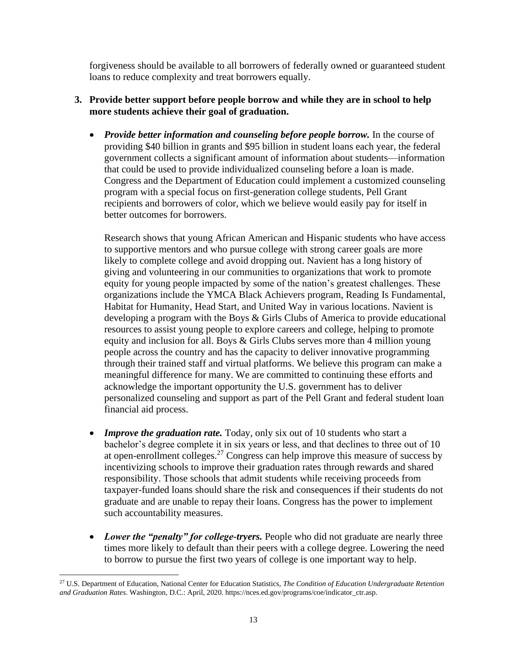forgiveness should be available to all borrowers of federally owned or guaranteed student loans to reduce complexity and treat borrowers equally.

# **3. Provide better support before people borrow and while they are in school to help more students achieve their goal of graduation.**

• *Provide better information and counseling before people borrow.* In the course of providing \$40 billion in grants and \$95 billion in student loans each year, the federal government collects a significant amount of information about students—information that could be used to provide individualized counseling before a loan is made. Congress and the Department of Education could implement a customized counseling program with a special focus on first-generation college students, Pell Grant recipients and borrowers of color, which we believe would easily pay for itself in better outcomes for borrowers.

Research shows that young African American and Hispanic students who have access to supportive mentors and who pursue college with strong career goals are more likely to complete college and avoid dropping out. Navient has a long history of giving and volunteering in our communities to organizations that work to promote equity for young people impacted by some of the nation's greatest challenges. These organizations include the YMCA Black Achievers program, Reading Is Fundamental, Habitat for Humanity, Head Start, and United Way in various locations. Navient is developing a program with the Boys & Girls Clubs of America to provide educational resources to assist young people to explore careers and college, helping to promote equity and inclusion for all. Boys & Girls Clubs serves more than 4 million young people across the country and has the capacity to deliver innovative programming through their trained staff and virtual platforms. We believe this program can make a meaningful difference for many. We are committed to continuing these efforts and acknowledge the important opportunity the U.S. government has to deliver personalized counseling and support as part of the Pell Grant and federal student loan financial aid process.

- *Improve the graduation rate.* Today, only six out of 10 students who start a bachelor's degree complete it in six years or less, and that declines to three out of 10 at open-enrollment colleges.<sup>27</sup> Congress can help improve this measure of success by incentivizing schools to improve their graduation rates through rewards and shared responsibility. Those schools that admit students while receiving proceeds from taxpayer-funded loans should share the risk and consequences if their students do not graduate and are unable to repay their loans. Congress has the power to implement such accountability measures.
- *Lower the "penalty" for college-tryers.* People who did not graduate are nearly three times more likely to default than their peers with a college degree. Lowering the need to borrow to pursue the first two years of college is one important way to help.

<sup>27</sup> U.S. Department of Education, National Center for Education Statistics, *The Condition of Education Undergraduate Retention and Graduation Rates*. Washington, D.C.: April, 2020. https://nces.ed.gov/programs/coe/indicator\_ctr.asp.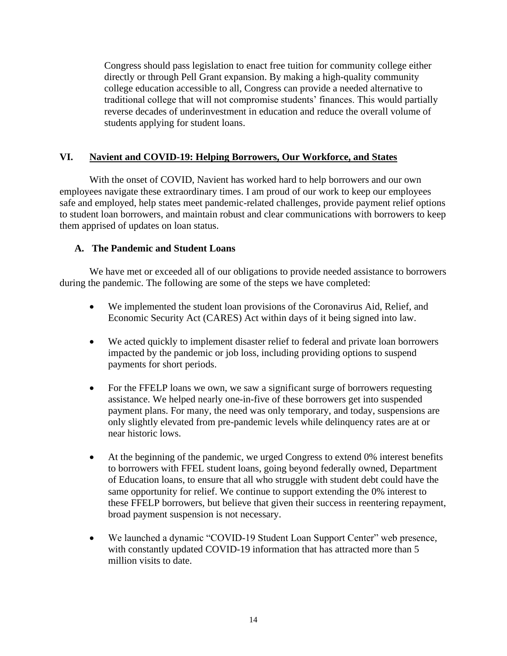Congress should pass legislation to enact free tuition for community college either directly or through Pell Grant expansion. By making a high-quality community college education accessible to all, Congress can provide a needed alternative to traditional college that will not compromise students' finances. This would partially reverse decades of underinvestment in education and reduce the overall volume of students applying for student loans.

# **VI. Navient and COVID-19: Helping Borrowers, Our Workforce, and States**

With the onset of COVID, Navient has worked hard to help borrowers and our own employees navigate these extraordinary times. I am proud of our work to keep our employees safe and employed, help states meet pandemic-related challenges, provide payment relief options to student loan borrowers, and maintain robust and clear communications with borrowers to keep them apprised of updates on loan status.

# **A. The Pandemic and Student Loans**

We have met or exceeded all of our obligations to provide needed assistance to borrowers during the pandemic. The following are some of the steps we have completed:

- We implemented the student loan provisions of the Coronavirus Aid, Relief, and Economic Security Act (CARES) Act within days of it being signed into law.
- We acted quickly to implement disaster relief to federal and private loan borrowers impacted by the pandemic or job loss, including providing options to suspend payments for short periods.
- For the FFELP loans we own, we saw a significant surge of borrowers requesting assistance. We helped nearly one-in-five of these borrowers get into suspended payment plans. For many, the need was only temporary, and today, suspensions are only slightly elevated from pre-pandemic levels while delinquency rates are at or near historic lows.
- At the beginning of the pandemic, we urged Congress to extend 0% interest benefits to borrowers with FFEL student loans, going beyond federally owned, Department of Education loans, to ensure that all who struggle with student debt could have the same opportunity for relief. We continue to support extending the 0% interest to these FFELP borrowers, but believe that given their success in reentering repayment, broad payment suspension is not necessary.
- We launched a dynamic "COVID-19 Student Loan Support Center" web presence, with constantly updated COVID-19 information that has attracted more than 5 million visits to date.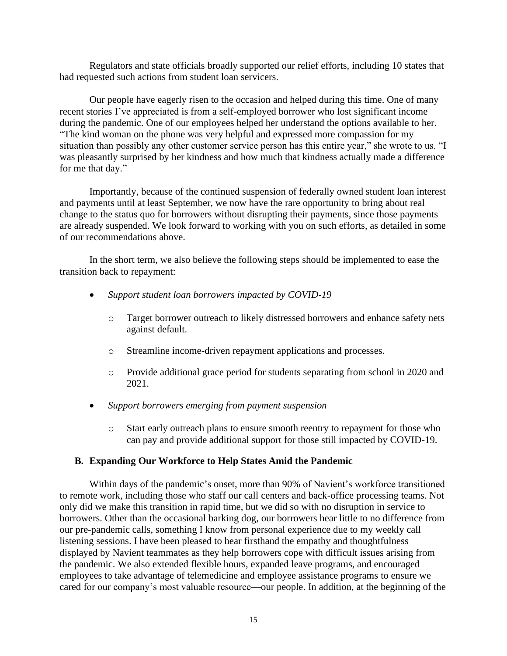Regulators and state officials broadly supported our relief efforts, including 10 states that had requested such actions from student loan servicers.

Our people have eagerly risen to the occasion and helped during this time. One of many recent stories I've appreciated is from a self-employed borrower who lost significant income during the pandemic. One of our employees helped her understand the options available to her. "The kind woman on the phone was very helpful and expressed more compassion for my situation than possibly any other customer service person has this entire year," she wrote to us. "I was pleasantly surprised by her kindness and how much that kindness actually made a difference for me that day."

Importantly, because of the continued suspension of federally owned student loan interest and payments until at least September, we now have the rare opportunity to bring about real change to the status quo for borrowers without disrupting their payments, since those payments are already suspended. We look forward to working with you on such efforts, as detailed in some of our recommendations above.

In the short term, we also believe the following steps should be implemented to ease the transition back to repayment:

- *Support student loan borrowers impacted by COVID-19*
	- o Target borrower outreach to likely distressed borrowers and enhance safety nets against default.
	- o Streamline income-driven repayment applications and processes.
	- o Provide additional grace period for students separating from school in 2020 and 2021.
- *Support borrowers emerging from payment suspension*
	- o Start early outreach plans to ensure smooth reentry to repayment for those who can pay and provide additional support for those still impacted by COVID-19.

#### **B. Expanding Our Workforce to Help States Amid the Pandemic**

Within days of the pandemic's onset, more than 90% of Navient's workforce transitioned to remote work, including those who staff our call centers and back-office processing teams. Not only did we make this transition in rapid time, but we did so with no disruption in service to borrowers. Other than the occasional barking dog, our borrowers hear little to no difference from our pre-pandemic calls, something I know from personal experience due to my weekly call listening sessions. I have been pleased to hear firsthand the empathy and thoughtfulness displayed by Navient teammates as they help borrowers cope with difficult issues arising from the pandemic. We also extended flexible hours, expanded leave programs, and encouraged employees to take advantage of telemedicine and employee assistance programs to ensure we cared for our company's most valuable resource—our people. In addition, at the beginning of the